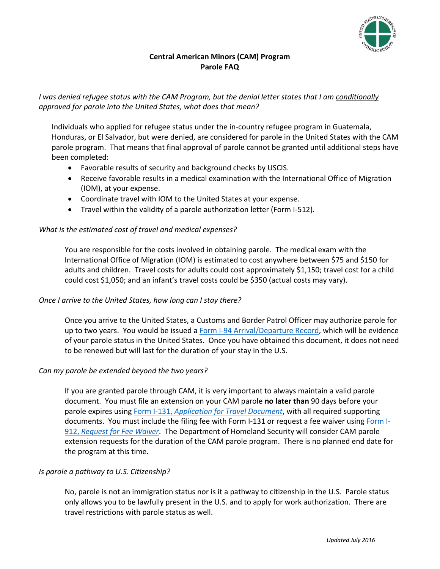

# **Central American Minors (CAM) Program Parole FAQ**

*I was denied refugee status with the CAM Program, but the denial letter states that I am conditionally approved for parole into the United States, what does that mean?* 

Individuals who applied for refugee status under the in-country refugee program in Guatemala, Honduras, or El Salvador, but were denied, are considered for parole in the United States with the CAM parole program. That means that final approval of parole cannot be granted until additional steps have been completed:

- Favorable results of security and background checks by USCIS.
- Receive favorable results in a medical examination with the International Office of Migration (IOM), at your expense.
- Coordinate travel with IOM to the United States at your expense.
- Travel within the validity of a parole authorization letter (Form I-512).

# *What is the estimated cost of travel and medical expenses?*

You are responsible for the costs involved in obtaining parole. The medical exam with the International Office of Migration (IOM) is estimated to cost anywhere between \$75 and \$150 for adults and children. Travel costs for adults could cost approximately \$1,150; travel cost for a child could cost \$1,050; and an infant's travel costs could be \$350 (actual costs may vary).

#### *Once I arrive to the United States, how long can I stay there?*

Once you arrive to the United States, a Customs and Border Patrol Officer may authorize parole for up to two years. You would be issued [a Form I-94 Arrival/Departure Record,](http://www.cbp.gov/travel/international-visitors/i-94-instructions) which will be evidence of your parole status in the United States. Once you have obtained this document, it does not need to be renewed but will last for the duration of your stay in the U.S.

#### *Can my parole be extended beyond the two years?*

If you are granted parole through CAM, it is very important to always maintain a valid parole document. You must file an extension on your CAM parole **no later than** 90 days before your parole expires using Form I-131, *[Application for Travel Document](https://www.uscis.gov/i-131)*, with all required supporting documents. You must include the filing fee with Form I-131 or request a fee waiver using [Form I-](https://www.uscis.gov/i-912)912, *[Request for Fee Waiver](https://www.uscis.gov/i-912)*. The Department of Homeland Security will consider CAM parole extension requests for the duration of the CAM parole program. There is no planned end date for the program at this time.

#### *Is parole a pathway to U.S. Citizenship?*

No, parole is not an immigration status nor is it a pathway to citizenship in the U.S. Parole status only allows you to be lawfully present in the U.S. and to apply for work authorization. There are travel restrictions with parole status as well.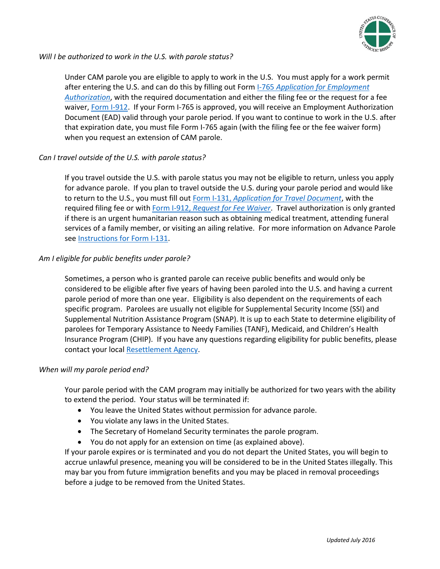

#### *Will I be authorized to work in the U.S. with parole status?*

Under CAM parole you are eligible to apply to work in the U.S. You must apply for a work permit after entering the U.S. and can do this by filling out Form I-765 *[Application for Employment](https://www.uscis.gov/i-765)  [Authorization](https://www.uscis.gov/i-765)*, with the required documentation and either the filing fee or the request for a fee waiver, [Form I-912.](https://www.uscis.gov/i-912) If your Form I-765 is approved, you will receive an Employment Authorization Document (EAD) valid through your parole period. If you want to continue to work in the U.S. after that expiration date, you must file Form I-765 again (with the filing fee or the fee waiver form) when you request an extension of CAM parole.

# *Can I travel outside of the U.S. with parole status?*

If you travel outside the U.S. with parole status you may not be eligible to return, unless you apply for advance parole. If you plan to travel outside the U.S. during your parole period and would like to return to the U.S., you must fill out Form I-131, *[Application for Travel Document](https://www.uscis.gov/i-131)*, with the required filing fee or with Form I-912, *[Request for Fee Waiver](https://www.uscis.gov/i-912)*. Travel authorization is only granted if there is an urgent humanitarian reason such as obtaining medical treatment, attending funeral services of a family member, or visiting an ailing relative. For more information on Advance Parole se[e Instructions for Form I-131.](https://www.uscis.gov/sites/default/files/files/form/i-131instr.pdf)

# *Am I eligible for public benefits under parole?*

Sometimes, a person who is granted parole can receive public benefits and would only be considered to be eligible after five years of having been paroled into the U.S. and having a current parole period of more than one year. Eligibility is also dependent on the requirements of each specific program. Parolees are usually not eligible for Supplemental Security Income (SSI) and Supplemental Nutrition Assistance Program (SNAP). It is up to each State to determine eligibility of parolees for Temporary Assistance to Needy Families (TANF), Medicaid, and Children's Health Insurance Program (CHIP). If you have any questions regarding eligibility for public benefits, please contact your local [Resettlement Agency.](http://www.wrapsnet.org/Portals/1/Affiliate%20Directory%20Posting/FY%202014%20Affiliate%20Directory/Public%20Affiliate%20Directory%202-17-15.pdf)

#### *When will my parole period end?*

Your parole period with the CAM program may initially be authorized for two years with the ability to extend the period. Your status will be terminated if:

- You leave the United States without permission for advance parole.
- You violate any laws in the United States.
- The Secretary of Homeland Security terminates the parole program.
- You do not apply for an extension on time (as explained above).

If your parole expires or is terminated and you do not depart the United States, you will begin to accrue unlawful presence, meaning you will be considered to be in the United States illegally. This may bar you from future immigration benefits and you may be placed in removal proceedings before a judge to be removed from the United States.